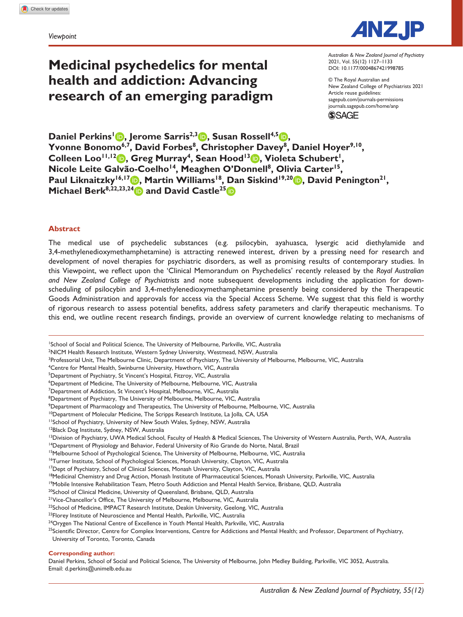*Viewpoint*

# **Medicinal psychedelics for mental health and addiction: Advancing research of an emerging paradigm**

DOI: 10.1177/0004867421998785 *Australian & New Zealand Journal of Psychiatry* 2021, Vol. 55(12) 1127–1133

© The Royal Australian and New Zealand College of Psychiatrists 2021 Article reuse guidelines: [sagepub.com/journals-permissions](https://uk.sagepub.com/en-gb/journals-permissions) [journals.sagepub.com/home/anp](https://journals.sagepub.com/home/anp) **SSAGE** 

**Daniel Perkins<sup>1</sup> <b>D**, Jerome Sarris<sup>2,3</sup> D, Susan Rossell<sup>4,5</sup> D, Yvonne Bonomo<sup>6,7</sup>, David Forbes<sup>8</sup>, Christopher Davey<sup>8</sup>, Daniel Hoyer<sup>9,10</sup>, Colleen Loo<sup>11,12</sup> **b**, Greg Murray<sup>4</sup>, Sean Hood<sup>13</sup> **b**, Violeta Schubert<sup>1</sup>, Nicole Leite Galvão-Coelho<sup>14</sup>, Meaghen O'Donnell<sup>8</sup>, Olivia Carter<sup>15</sup>, Paul Liknaitzky<sup>16,17</sup> **b**, Martin Williams<sup>18</sup>, Dan Siskind<sup>19,20</sup> **b**, David Penington<sup>21</sup>, **Michael Berk**<sup>8,22,23,24</sup> and David Castle<sup>25</sup>

### **Abstract**

The medical use of psychedelic substances (e.g. psilocybin, ayahuasca, lysergic acid diethylamide and 3,4-methylenedioxymethamphetamine) is attracting renewed interest, driven by a pressing need for research and development of novel therapies for psychiatric disorders, as well as promising results of contemporary studies. In this Viewpoint, we reflect upon the 'Clinical Memorandum on Psychedelics' recently released by the *Royal Australian and New Zealand College of Psychiatrists* and note subsequent developments including the application for downscheduling of psilocybin and 3,4-methylenedioxymethamphetamine presently being considered by the Therapeutic Goods Administration and approvals for access via the Special Access Scheme. We suggest that this field is worthy of rigorous research to assess potential benefits, address safety parameters and clarify therapeutic mechanisms. To this end, we outline recent research findings, provide an overview of current knowledge relating to mechanisms of

1 School of Social and Political Science, The University of Melbourne, Parkville, VIC, Australia

2 NICM Health Research Institute, Western Sydney University, Westmead, NSW, Australia

<sup>3</sup>Professorial Unit, The Melbourne Clinic, Department of Psychiatry, The University of Melbourne, Melbourne, VIC, Australia

4 Centre for Mental Health, Swinburne University, Hawthorn, VIC, Australia

<sup>5</sup>Department of Psychiatry, St Vincent's Hospital, Fitzroy, VIC, Australia

6 Department of Medicine, The University of Melbourne, Melbourne, VIC, Australia

<sup>7</sup>Department of Addiction, St Vincent's Hospital, Melbourne, VIC, Australia

<sup>8</sup>Department of Psychiatry, The University of Melbourne, Melbourne, VIC, Australia

9 Department of Pharmacology and Therapeutics, The University of Melbourne, Melbourne, VIC, Australia

<sup>10</sup>Department of Molecular Medicine, The Scripps Research Institute, La Jolla, CA, USA

<sup>11</sup>School of Psychiatry, University of New South Wales, Sydney, NSW, Australia

<sup>13</sup>Division of Psychiatry, UWA Medical School, Faculty of Health & Medical Sciences, The University of Western Australia, Perth, WA, Australia

<sup>14</sup>Department of Physiology and Behavior, Federal University of Rio Grande do Norte, Natal, Brazil

<sup>15</sup>Melbourne School of Psychological Science, The University of Melbourne, Melbourne, VIC, Australia

<sup>16</sup>Turner Institute, School of Psychological Sciences, Monash University, Clayton, VIC, Australia

<sup>17</sup>Dept of Psychiatry, School of Clinical Sciences, Monash University, Clayton, VIC, Australia

<sup>18</sup>Medicinal Chemistry and Drug Action, Monash Institute of Pharmaceutical Sciences, Monash University, Parkville, VIC, Australia

<sup>19</sup>Mobile Intensive Rehabilitation Team, Metro South Addiction and Mental Health Service, Brisbane, QLD, Australia

<sup>20</sup>School of Clinical Medicine, University of Queensland, Brisbane, QLD, Australia

<sup>21</sup>Vice-Chancellor's Office, The University of Melbourne, Melbourne, VIC, Australia

<sup>22</sup>School of Medicine, IMPACT Research Institute, Deakin University, Geelong, VIC, Australia

<sup>23</sup>Florey Institute of Neuroscience and Mental Health, Parkville, VIC, Australia

<sup>25</sup>Scientific Director, Centre for Complex Interventions, Centre for Addictions and Mental Health; and Professor, Department of Psychiatry, University of Toronto, Toronto, Canada

**Corresponding author:**

Daniel Perkins, School of Social and Political Science, The University of Melbourne, John Medley Building, Parkville, VIC 3052, Australia. Email: [d.perkins@unimelb.edu.au](mailto:d.perkins@unimelb.edu.au)



<sup>&</sup>lt;sup>12</sup>Black Dog Institute, Sydney, NSW, Australia

<sup>&</sup>lt;sup>24</sup>Orygen The National Centre of Excellence in Youth Mental Health, Parkville, VIC, Australia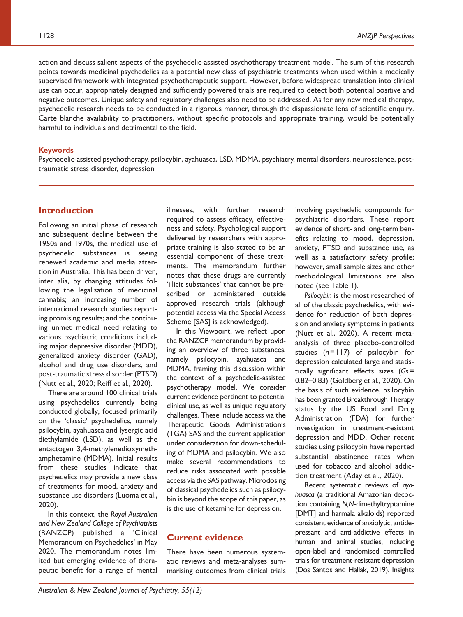action and discuss salient aspects of the psychedelic-assisted psychotherapy treatment model. The sum of this research points towards medicinal psychedelics as a potential new class of psychiatric treatments when used within a medically supervised framework with integrated psychotherapeutic support. However, before widespread translation into clinical use can occur, appropriately designed and sufficiently powered trials are required to detect both potential positive and negative outcomes. Unique safety and regulatory challenges also need to be addressed. As for any new medical therapy, psychedelic research needs to be conducted in a rigorous manner, through the dispassionate lens of scientific enquiry. Carte blanche availability to practitioners, without specific protocols and appropriate training, would be potentially harmful to individuals and detrimental to the field.

#### **Keywords**

Psychedelic-assisted psychotherapy, psilocybin, ayahuasca, LSD, MDMA, psychiatry, mental disorders, neuroscience, posttraumatic stress disorder, depression

# **Introduction**

Following an initial phase of research and subsequent decline between the 1950s and 1970s, the medical use of psychedelic substances is seeing renewed academic and media attention in Australia. This has been driven, inter alia, by changing attitudes following the legalisation of medicinal cannabis; an increasing number of international research studies reporting promising results; and the continuing unmet medical need relating to various psychiatric conditions including major depressive disorder (MDD), generalized anxiety disorder (GAD), alcohol and drug use disorders, and post-traumatic stress disorder (PTSD) (Nutt et al., 2020; Reiff et al., 2020).

There are around 100 clinical trials using psychedelics currently being conducted globally, focused primarily on the 'classic' psychedelics, namely psilocybin, ayahuasca and lysergic acid diethylamide (LSD), as well as the entactogen 3,4-methylenedioxymethamphetamine (MDMA). Initial results from these studies indicate that psychedelics may provide a new class of treatments for mood, anxiety and substance use disorders (Luoma et al., 2020).

In this context, the *Royal Australian and New Zealand College of Psychiatrists* (RANZCP) published a 'Clinical Memorandum on Psychedelics' in May 2020. The memorandum notes limited but emerging evidence of therapeutic benefit for a range of mental illnesses, with further research required to assess efficacy, effectiveness and safety. Psychological support delivered by researchers with appropriate training is also stated to be an essential component of these treatments. The memorandum further notes that these drugs are currently 'illicit substances' that cannot be prescribed or administered outside approved research trials (although potential access via the Special Access Scheme [SAS] is acknowledged).

In this Viewpoint, we reflect upon the RANZCP memorandum by providing an overview of three substances, namely psilocybin, ayahuasca and MDMA, framing this discussion within the context of a psychedelic-assisted psychotherapy model. We consider current evidence pertinent to potential clinical use, as well as unique regulatory challenges. These include access via the Therapeutic Goods Administration's (TGA) SAS and the current application under consideration for down-scheduling of MDMA and psilocybin. We also make several recommendations to reduce risks associated with possible access via the SAS pathway. Microdosing of classical psychedelics such as psilocybin is beyond the scope of this paper, as is the use of ketamine for depression.

# **Current evidence**

There have been numerous systematic reviews and meta-analyses summarising outcomes from clinical trials involving psychedelic compounds for psychiatric disorders. These report evidence of short- and long-term benefits relating to mood, depression, anxiety, PTSD and substance use, as well as a satisfactory safety profile; however, small sample sizes and other methodological limitations are also noted (see Table 1).

*Psilocybin* is the most researched of all of the classic psychedelics, with evidence for reduction of both depression and anxiety symptoms in patients (Nutt et al., 2020). A recent metaanalysis of three placebo-controlled studies (*n*=117) of psilocybin for depression calculated large and statistically significant effects sizes (*G*s= 0.82–0.83) (Goldberg et al., 2020). On the basis of such evidence, psilocybin has been granted Breakthrough Therapy status by the US Food and Drug Administration (FDA) for further investigation in treatment-resistant depression and MDD. Other recent studies using psilocybin have reported substantial abstinence rates when used for tobacco and alcohol addiction treatment (Aday et al., 2020).

Recent systematic reviews of *ayahuasca* (a traditional Amazonian decoction containing *N,N*-dimethyltryptamine [DMT] and harmala alkaloids) reported consistent evidence of anxiolytic, antidepressant and anti-addictive effects in human and animal studies, including open-label and randomised controlled trials for treatment-resistant depression (Dos Santos and Hallak, 2019). Insights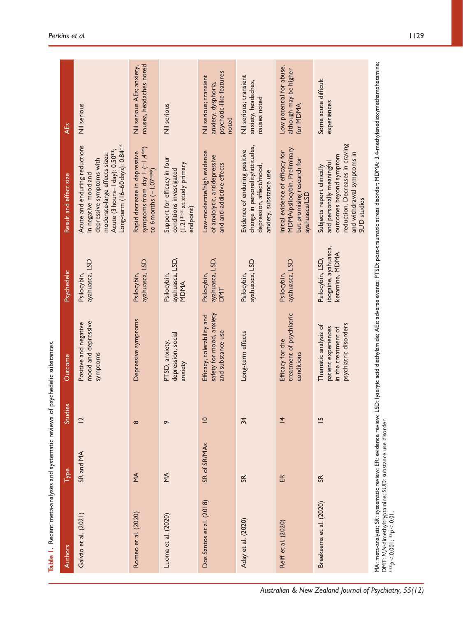| Authors                                                                                        | Type           | 3<br>Studie    | Outcome                                                                                     | <b>Psychedelic</b>                                         | Result and effect size                                                                                                                                                                              | <b>AEs</b>                                                                        |
|------------------------------------------------------------------------------------------------|----------------|----------------|---------------------------------------------------------------------------------------------|------------------------------------------------------------|-----------------------------------------------------------------------------------------------------------------------------------------------------------------------------------------------------|-----------------------------------------------------------------------------------|
| Galvão et al. (2021)                                                                           | SR and MA      | $\overline{2}$ | mood and depressive<br>Positive and negative<br>symptoms                                    | ayahuasca, LSD<br>Psilocybin,                              | Long-term (16-60 days): 0.84 <sup>**</sup><br>Acute and enduring reductions<br>Acute (3 hours-1 day): 0.50**;<br>moderate-large effects sizes:<br>depressive symptoms with<br>in negative mood and  | Nil serious                                                                       |
| Romeo et al. (2020)                                                                            | $\leq$         | $\infty$       | Depressive symptoms                                                                         | ayahuasca, LSD<br>Psilocybin,                              | symptoms from day $1(-1.4***)$<br>Rapid decrease in depressive<br>to 6 months (-1.07***)                                                                                                            | nausea, headaches noted<br>Nil serious AEs; anxiety,                              |
| Luoma et al. (2020)                                                                            | ΥŔ             | $\sigma$       | depression, social<br>PTSD, anxiety,<br>anxiety                                             | ayahuasca, LSD,<br>Psilocybin,<br>MDMA                     | Support for efficacy in four<br>(1.21 *** at study primary<br>conditions investigated<br>endpoint)                                                                                                  | Nil serious                                                                       |
| Dos Santos et al. (2018)                                                                       | SR of SR/MAs   | $\subseteq$    | safety for mood, anxiety<br>Efficacy, tolerability and<br>and substance use                 | ayahuasca, LSD,<br>Psilocybin,<br><b>DMT</b>               | Low-moderate/high evidence<br>of anxiolytic, antidepressive<br>and anti-addictive effects                                                                                                           | psychotic-like features<br>Nil serious; transient<br>anxiety, dysphoria,<br>noted |
| Aday et al. (2020)                                                                             | S <sub>R</sub> | 34             | Long-term effects                                                                           | ayahuasca, LSD<br>Psilocybin,                              | change in personality/attitudes,<br>Evidence of enduring positive<br>depression, affect/mood,<br>anxiety, substance use                                                                             | Nil serious; transient<br>anxiety, headaches,<br>nausea noted                     |
| Reiff et al. (2020)                                                                            | 氐              | $\overline{4}$ | treatment of psychiatric<br>Efficacy for the<br>conditions                                  | ayahuasca, LSD<br>Psilocybin,                              | MDMA/psilocybin. Preliminary<br>Initial evidence of efficacy for<br>but promising research for<br>ayahuasca/LSD                                                                                     | Low potential for abuse,<br>although may be higher<br>for MDMA                    |
| Breeksema et al. (2020)                                                                        | S <sub>K</sub> | $\overline{5}$ | psychiatric disorders<br>Thematic analysis of<br>patient experiences<br>in the treatment of | ibogaine, ayahuasca,<br>ketamine, MDMA<br>Psilocybin, LSD, | reduction. Decreases in craving<br>and withdrawal symptoms in<br>outcomes beyond symptom<br>and personally meaningful<br>Subjects report clinically<br>SUD studies                                  | Some acute difficult<br>experiences                                               |
| DMT: N,N-dimethyltryptamine; SUD: substance use disorder.<br>*** $p < 0.00$  ; ** $p < 0.01$ . |                |                |                                                                                             |                                                            | MA: meta-analysis; SR: systematic review; ER: evidence review; LSD: lysergic acid diethylamide; AEs: adverse events; PTSD: post-traumatic stress disorder; MDMA: 3,4-methylenedioxymethamphetamine; |                                                                                   |

Table 1. Recent meta-analyses and systematic reviews of psychedelic substances. **Table 1.** Recent meta-analyses and systematic reviews of psychedelic substances.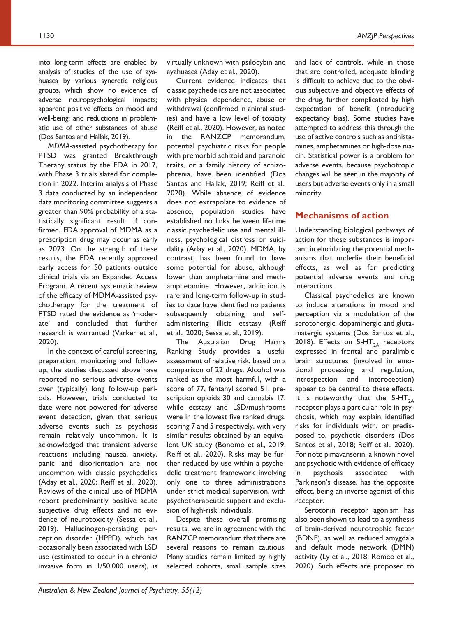into long-term effects are enabled by analysis of studies of the use of ayahuasca by various syncretic religious groups, which show no evidence of adverse neuropsychological impacts; apparent positive effects on mood and well-being; and reductions in problematic use of other substances of abuse (Dos Santos and Hallak, 2019).

*MDMA*-assisted psychotherapy for PTSD was granted Breakthrough Therapy status by the FDA in 2017, with Phase 3 trials slated for completion in 2022. Interim analysis of Phase 3 data conducted by an independent data monitoring committee suggests a greater than 90% probability of a statistically significant result. If confirmed, FDA approval of MDMA as a prescription drug may occur as early as 2023. On the strength of these results, the FDA recently approved early access for 50 patients outside clinical trials via an Expanded Access Program. A recent systematic review of the efficacy of MDMA-assisted psychotherapy for the treatment of PTSD rated the evidence as 'moderate' and concluded that further research is warranted (Varker et al., 2020).

In the context of careful screening, preparation, monitoring and followup, the studies discussed above have reported no serious adverse events over (typically) long follow-up periods. However, trials conducted to date were not powered for adverse event detection, given that serious adverse events such as psychosis remain relatively uncommon. It is acknowledged that transient adverse reactions including nausea, anxiety, panic and disorientation are not uncommon with classic psychedelics (Aday et al., 2020; Reiff et al., 2020). Reviews of the clinical use of MDMA report predominantly positive acute subjective drug effects and no evidence of neurotoxicity (Sessa et al., 2019). Hallucinogen-persisting perception disorder (HPPD), which has occasionally been associated with LSD use (estimated to occur in a chronic/ invasive form in 1/50,000 users), is

virtually unknown with psilocybin and ayahuasca (Aday et al., 2020).

Current evidence indicates that classic psychedelics are not associated with physical dependence, abuse or withdrawal (confirmed in animal studies) and have a low level of toxicity (Reiff et al., 2020). However, as noted in the RANZCP memorandum, potential psychiatric risks for people with premorbid schizoid and paranoid traits, or a family history of schizophrenia, have been identified (Dos Santos and Hallak, 2019; Reiff et al., 2020). While absence of evidence does not extrapolate to evidence of absence, population studies have established no links between lifetime classic psychedelic use and mental illness, psychological distress or suicidality (Aday et al., 2020). MDMA, by contrast, has been found to have some potential for abuse, although lower than amphetamine and methamphetamine. However, addiction is rare and long-term follow-up in studies to date have identified no patients subsequently obtaining and selfadministering illicit ecstasy (Reiff et al., 2020; Sessa et al., 2019).

The Australian Drug Harms Ranking Study provides a useful assessment of relative risk, based on a comparison of 22 drugs. Alcohol was ranked as the most harmful, with a score of 77, fentanyl scored 51, prescription opioids 30 and cannabis 17, while ecstasy and LSD/mushrooms were in the lowest five ranked drugs, scoring 7 and 5 respectively, with very similar results obtained by an equivalent UK study (Bonomo et al., 2019; Reiff et al., 2020). Risks may be further reduced by use within a psychedelic treatment framework involving only one to three administrations under strict medical supervision, with psychotherapeutic support and exclusion of high-risk individuals.

Despite these overall promising results, we are in agreement with the RANZCP memorandum that there are several reasons to remain cautious. Many studies remain limited by highly selected cohorts, small sample sizes

and lack of controls, while in those that are controlled, adequate blinding is difficult to achieve due to the obvious subjective and objective effects of the drug, further complicated by high expectation of benefit (introducing expectancy bias). Some studies have attempted to address this through the use of active controls such as antihistamines, amphetamines or high-dose niacin. Statistical power is a problem for adverse events, because psychotropic changes will be seen in the majority of users but adverse events only in a small minority.

### **Mechanisms of action**

Understanding biological pathways of action for these substances is important in elucidating the potential mechanisms that underlie their beneficial effects, as well as for predicting potential adverse events and drug interactions.

Classical psychedelics are known to induce alterations in mood and perception via a modulation of the serotonergic, dopaminergic and glutamatergic systems (Dos Santos et al., 2018). Effects on  $5-HT_{2A}$  receptors expressed in frontal and paralimbic brain structures (involved in emotional processing and regulation, introspection and interoception) appear to be central to these effects. It is noteworthy that the  $5-HT_{2A}$ receptor plays a particular role in psychosis, which may explain identified risks for individuals with, or predisposed to, psychotic disorders (Dos Santos et al., 2018; Reiff et al., 2020). For note pimavanserin, a known novel antipsychotic with evidence of efficacy in psychosis associated with Parkinson's disease, has the opposite effect, being an inverse agonist of this receptor.

Serotonin receptor agonism has also been shown to lead to a synthesis of brain-derived neurotrophic factor (BDNF), as well as reduced amygdala and default mode network (DMN) activity (Ly et al., 2018; Romeo et al., 2020). Such effects are proposed to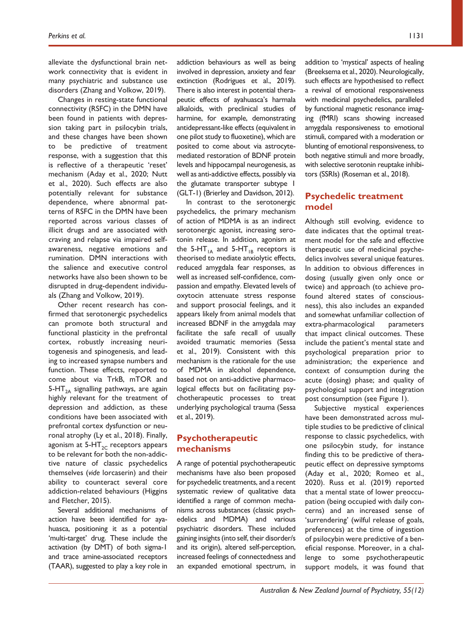alleviate the dysfunctional brain network connectivity that is evident in many psychiatric and substance use disorders (Zhang and Volkow, 2019).

Changes in resting-state functional connectivity (RSFC) in the DMN have been found in patients with depression taking part in psilocybin trials, and these changes have been shown to be predictive of treatment response, with a suggestion that this is reflective of a therapeutic 'reset' mechanism (Aday et al., 2020; Nutt et al., 2020). Such effects are also potentially relevant for substance dependence, where abnormal patterns of RSFC in the DMN have been reported across various classes of illicit drugs and are associated with craving and relapse via impaired selfawareness, negative emotions and rumination. DMN interactions with the salience and executive control networks have also been shown to be disrupted in drug-dependent individuals (Zhang and Volkow, 2019).

Other recent research has confirmed that serotonergic psychedelics can promote both structural and functional plasticity in the prefrontal cortex, robustly increasing neuritogenesis and spinogenesis, and leading to increased synapse numbers and function. These effects, reported to come about via TrkB, mTOR and 5-HT<sub>2A</sub> signalling pathways, are again highly relevant for the treatment of depression and addiction, as these conditions have been associated with prefrontal cortex dysfunction or neuronal atrophy (Ly et al., 2018). Finally, agonism at  $5-HT_{2C}$  receptors appears to be relevant for both the non-addictive nature of classic psychedelics themselves (*vide* lorcaserin) and their ability to counteract several core addiction-related behaviours (Higgins and Fletcher, 2015).

Several additional mechanisms of action have been identified for ayahuasca, positioning it as a potential 'multi-target' drug. These include the activation (by DMT) of both sigma-1 and trace amine-associated receptors (TAAR), suggested to play a key role in

addiction behaviours as well as being involved in depression, anxiety and fear extinction (Rodrigues et al., 2019). There is also interest in potential therapeutic effects of ayahuasca's harmala alkaloids, with preclinical studies of harmine, for example, demonstrating antidepressant-like effects (equivalent in one pilot study to fluoxetine), which are posited to come about via astrocytemediated restoration of BDNF protein levels and hippocampal neurogenesis, as well as anti-addictive effects, possibly via the glutamate transporter subtype 1 (GLT-1) (Brierley and Davidson, 2012).

In contrast to the serotonergic psychedelics, the primary mechanism of action of MDMA is as an indirect serotonergic agonist, increasing serotonin release. In addition, agonism at the 5-HT<sub>1A</sub> and 5-HT<sub>1B</sub> receptors is theorised to mediate anxiolytic effects, reduced amygdala fear responses, as well as increased self-confidence, compassion and empathy. Elevated levels of oxytocin attenuate stress response and support prosocial feelings, and it appears likely from animal models that increased BDNF in the amygdala may facilitate the safe recall of usually avoided traumatic memories (Sessa et al., 2019). Consistent with this mechanism is the rationale for the use of MDMA in alcohol dependence, based not on anti-addictive pharmacological effects but on facilitating psychotherapeutic processes to treat underlying psychological trauma (Sessa et al., 2019).

# **Psychotherapeutic mechanisms**

A range of potential psychotherapeutic mechanisms have also been proposed for psychedelic treatments, and a recent systematic review of qualitative data identified a range of common mechanisms across substances (classic psychedelics and MDMA) and various psychiatric disorders. These included gaining insights (into self, their disorder/s and its origin), altered self-perception, increased feelings of connectedness and an expanded emotional spectrum, in

addition to 'mystical' aspects of healing (Breeksema et al., 2020). Neurologically, such effects are hypothesised to reflect a revival of emotional responsiveness with medicinal psychedelics, paralleled by functional magnetic resonance imaging (fMRI) scans showing increased amygdala responsiveness to emotional stimuli, compared with a moderation or blunting of emotional responsiveness, to both negative stimuli and more broadly, with selective serotonin reuptake inhibitors (SSRIs) (Roseman et al., 2018).

# **Psychedelic treatment model**

Although still evolving, evidence to date indicates that the optimal treatment model for the safe and effective therapeutic use of medicinal psychedelics involves several unique features. In addition to obvious differences in dosing (usually given only once or twice) and approach (to achieve profound altered states of consciousness), this also includes an expanded and somewhat unfamiliar collection of extra-pharmacological parameters that impact clinical outcomes. These include the patient's mental state and psychological preparation prior to administration; the experience and context of consumption during the acute (dosing) phase; and quality of psychological support and integration post consumption (see Figure 1).

Subjective mystical experiences have been demonstrated across multiple studies to be predictive of clinical response to classic psychedelics, with one psilocybin study, for instance finding this to be predictive of therapeutic effect on depressive symptoms (Aday et al., 2020; Romeo et al., 2020). Russ et al. (2019) reported that a mental state of lower preoccupation (being occupied with daily concerns) and an increased sense of 'surrendering' (wilful release of goals, preferences) at the time of ingestion of psilocybin were predictive of a beneficial response. Moreover, in a challenge to some psychotherapeutic support models, it was found that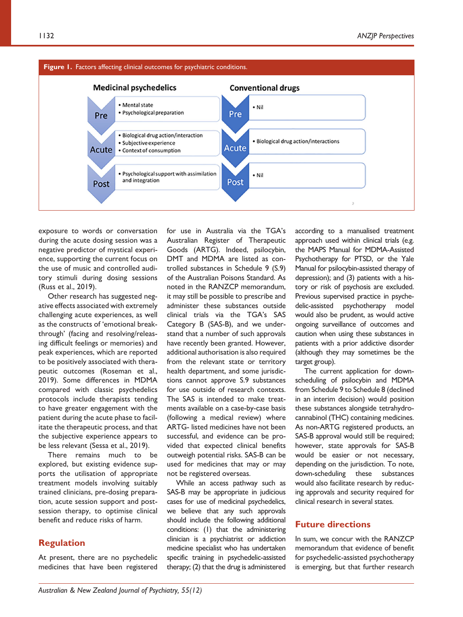

exposure to words or conversation during the acute dosing session was a negative predictor of mystical experience, supporting the current focus on the use of music and controlled auditory stimuli during dosing sessions (Russ et al., 2019).

Other research has suggested negative effects associated with extremely challenging acute experiences, as well as the constructs of 'emotional breakthrough' (facing and resolving/releasing difficult feelings or memories) and peak experiences, which are reported to be positively associated with therapeutic outcomes (Roseman et al., 2019). Some differences in MDMA compared with classic psychedelics protocols include therapists tending to have greater engagement with the patient during the acute phase to facilitate the therapeutic process, and that the subjective experience appears to be less relevant (Sessa et al., 2019).

There remains much to be explored, but existing evidence supports the utilisation of appropriate treatment models involving suitably trained clinicians, pre-dosing preparation, acute session support and postsession therapy, to optimise clinical benefit and reduce risks of harm.

# **Regulation**

At present, there are no psychedelic medicines that have been registered

for use in Australia via the TGA's Australian Register of Therapeutic Goods (ARTG). Indeed, psilocybin, DMT and MDMA are listed as controlled substances in Schedule 9 (S.9) of the Australian Poisons Standard. As noted in the RANZCP memorandum, it may still be possible to prescribe and administer these substances outside clinical trials via the TGA's SAS Category B (SAS-B), and we understand that a number of such approvals have recently been granted. However, additional authorisation is also required from the relevant state or territory health department, and some jurisdictions cannot approve S.9 substances for use outside of research contexts. The SAS is intended to make treatments available on a case-by-case basis (following a medical review) where ARTG- listed medicines have not been successful, and evidence can be provided that expected clinical benefits outweigh potential risks. SAS-B can be used for medicines that may or may not be registered overseas.

While an access pathway such as SAS-B may be appropriate in judicious cases for use of medicinal psychedelics, we believe that any such approvals should include the following additional conditions: (1) that the administering clinician is a psychiatrist or addiction medicine specialist who has undertaken specific training in psychedelic-assisted therapy; (2) that the drug is administered according to a manualised treatment approach used within clinical trials (e.g. the MAPS Manual for MDMA-Assisted Psychotherapy for PTSD, or the Yale Manual for psilocybin-assisted therapy of depression); and (3) patients with a history or risk of psychosis are excluded. Previous supervised practice in psychedelic-assisted psychotherapy model would also be prudent, as would active ongoing surveillance of outcomes and caution when using these substances in patients with a prior addictive disorder (although they may sometimes be the target group).

The current application for downscheduling of psilocybin and MDMA from Schedule 9 to Schedule 8 (declined in an interim decision) would position these substances alongside tetrahydrocannabinol (THC) containing medicines. As non-ARTG registered products, an SAS-B approval would still be required; however, state approvals for SAS-B would be easier or not necessary, depending on the jurisdiction. To note, down-scheduling these substances would also facilitate research by reducing approvals and security required for clinical research in several states.

## **Future directions**

In sum, we concur with the RANZCP memorandum that evidence of benefit for psychedelic-assisted psychotherapy is emerging, but that further research